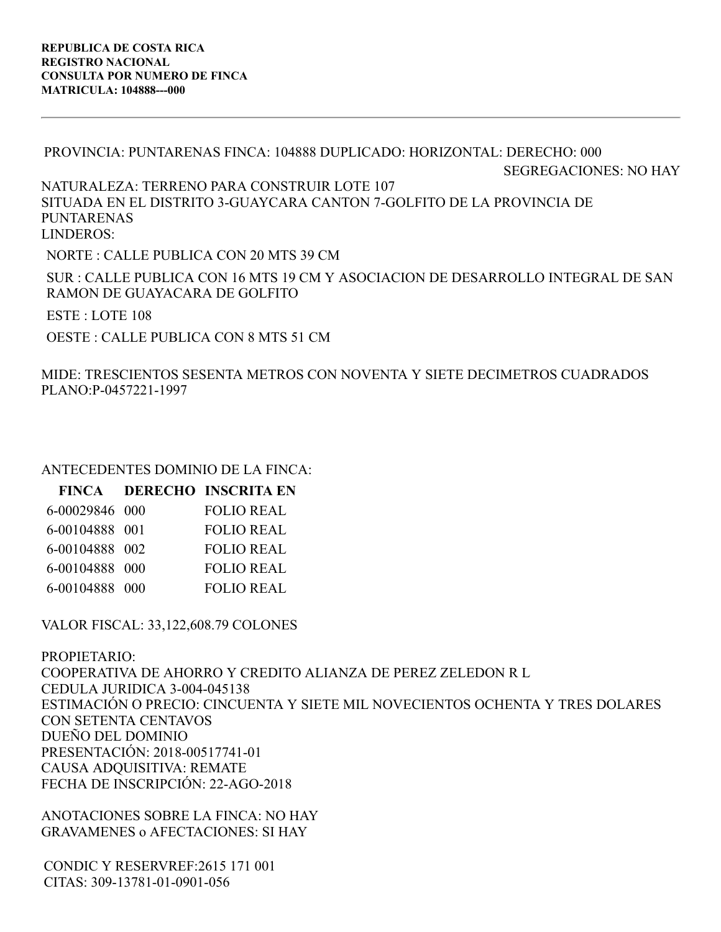PROVINCIA: PUNTARENAS FINCA: 104888 DUPLICADO: HORIZONTAL: DERECHO: 000 SEGREGACIONES: NO HAY NATURALEZA: TERRENO PARA CONSTRUIR LOTE 107 SITUADA EN EL DISTRITO 3-GUAYCARA CANTON 7-GOLFITO DE LA PROVINCIA DE PUNTARENAS LINDEROS: NORTE : CALLE PUBLICA CON 20 MTS 39 CM SUR : CALLE PUBLICA CON 16 MTS 19 CM Y ASOCIACION DE DESARROLLO INTEGRAL DE SAN RAMON DE GUAYACARA DE GOLFITO ESTE : LOTE 108

OESTE : CALLE PUBLICA CON 8 MTS 51 CM

MIDE: TRESCIENTOS SESENTA METROS CON NOVENTA Y SIETE DECIMETROS CUADRADOS PLANO:P-0457221-1997

## ANTECEDENTES DOMINIO DE LA FINCA:

| FINCA DERECHO INSCRITA EN |
|---------------------------|
| <b>FOLIO REAL</b>         |
| <b>FOLIO REAL</b>         |
| <b>FOLIO REAL</b>         |
| <b>FOLIO REAL</b>         |
| <b>FOLIO REAL</b>         |
|                           |

VALOR FISCAL: 33,122,608.79 COLONES

PROPIETARIO: COOPERATIVA DE AHORRO Y CREDITO ALIANZA DE PEREZ ZELEDON R L CEDULA JURIDICA 3-004-045138 ESTIMACIÓN O PRECIO: CINCUENTA Y SIETE MIL NOVECIENTOS OCHENTA Y TRES DOLARES CON SETENTA CENTAVOS DUEÑO DEL DOMINIO PRESENTACIÓN: 2018-00517741-01 CAUSA ADQUISITIVA: REMATE FECHA DE INSCRIPCIÓN: 22-AGO-2018

ANOTACIONES SOBRE LA FINCA: NO HAY GRAVAMENES o AFECTACIONES: SI HAY

CONDIC Y RESERVREF:2615 171 001 CITAS: 309-13781-01-0901-056